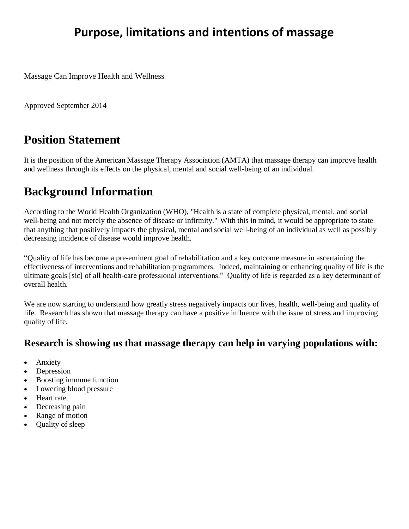# **Purpose, limitations and intentions of massage**

Massage Can Improve Health and Wellness

Approved September 2014

### **Position Statement**

It is the position of the American Massage Therapy Association (AMTA) that massage therapy can improve health and wellness through its effects on the physical, mental and social well-being of an individual.

## **Background Information**

According to the World Health Organization (WHO), "Health is a state of complete physical, mental, and social well-being and not merely the absence of disease or infirmity." With this in mind, it would be appropriate to state that anything that positively impacts the physical, mental and social well-being of an individual as well as possibly decreasing incidence of disease would improve health.

"Quality of life has become a pre-eminent goal of rehabilitation and a key outcome measure in ascertaining the effectiveness of interventions and rehabilitation programmers. Indeed, maintaining or enhancing quality of life is the ultimate goals [sic] of all health-care professional interventions." Quality of life is regarded as a key determinant of overall health.

We are now starting to understand how greatly stress negatively impacts our lives, health, well-being and quality of life. Research has shown that massage therapy can have a positive influence with the issue of stress and improving quality of life.

#### **Research is showing us that massage therapy can help in varying populations with:**

- Anxiety
- Depression
- Boosting immune function
- Lowering blood pressure
- Heart rate
- Decreasing pain
- Range of motion
- Quality of sleep